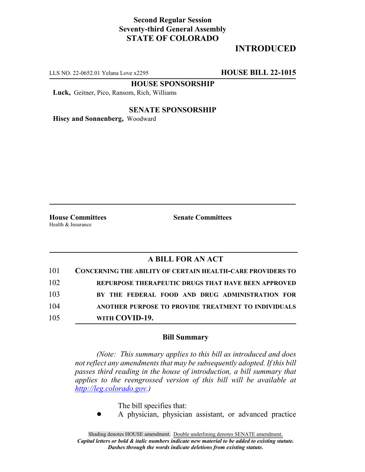## **Second Regular Session Seventy-third General Assembly STATE OF COLORADO**

# **INTRODUCED**

LLS NO. 22-0652.01 Yelana Love x2295 **HOUSE BILL 22-1015**

**HOUSE SPONSORSHIP**

**Luck,** Geitner, Pico, Ransom, Rich, Williams

#### **SENATE SPONSORSHIP**

**Hisey and Sonnenberg,** Woodward

Health & Insurance

**House Committees Senate Committees**

### **A BILL FOR AN ACT**

| 101 | <b>CONCERNING THE ABILITY OF CERTAIN HEALTH-CARE PROVIDERS TO</b> |
|-----|-------------------------------------------------------------------|
| 102 | REPURPOSE THERAPEUTIC DRUGS THAT HAVE BEEN APPROVED               |
| 103 | BY THE FEDERAL FOOD AND DRUG ADMINISTRATION FOR                   |
| 104 | ANOTHER PURPOSE TO PROVIDE TREATMENT TO INDIVIDUALS               |
| 105 | WITH COVID-19.                                                    |

#### **Bill Summary**

*(Note: This summary applies to this bill as introduced and does not reflect any amendments that may be subsequently adopted. If this bill passes third reading in the house of introduction, a bill summary that applies to the reengrossed version of this bill will be available at http://leg.colorado.gov.)*

The bill specifies that:

! A physician, physician assistant, or advanced practice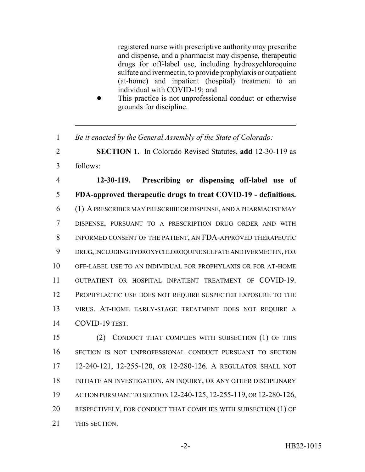registered nurse with prescriptive authority may prescribe and dispense, and a pharmacist may dispense, therapeutic drugs for off-label use, including hydroxychloroquine sulfate and ivermectin, to provide prophylaxis or outpatient (at-home) and inpatient (hospital) treatment to an individual with COVID-19; and

- This practice is not unprofessional conduct or otherwise grounds for discipline.
- *Be it enacted by the General Assembly of the State of Colorado:*

 **SECTION 1.** In Colorado Revised Statutes, **add** 12-30-119 as follows:

 **12-30-119. Prescribing or dispensing off-label use of FDA-approved therapeutic drugs to treat COVID-19 - definitions.** (1) A PRESCRIBER MAY PRESCRIBE OR DISPENSE, AND A PHARMACIST MAY DISPENSE, PURSUANT TO A PRESCRIPTION DRUG ORDER AND WITH INFORMED CONSENT OF THE PATIENT, AN FDA-APPROVED THERAPEUTIC DRUG, INCLUDING HYDROXYCHLOROQUINE SULFATE AND IVERMECTIN, FOR OFF-LABEL USE TO AN INDIVIDUAL FOR PROPHYLAXIS OR FOR AT-HOME OUTPATIENT OR HOSPITAL INPATIENT TREATMENT OF COVID-19. PROPHYLACTIC USE DOES NOT REQUIRE SUSPECTED EXPOSURE TO THE VIRUS. AT-HOME EARLY-STAGE TREATMENT DOES NOT REQUIRE A COVID-19 TEST.

 (2) CONDUCT THAT COMPLIES WITH SUBSECTION (1) OF THIS SECTION IS NOT UNPROFESSIONAL CONDUCT PURSUANT TO SECTION 12-240-121, 12-255-120, OR 12-280-126. A REGULATOR SHALL NOT INITIATE AN INVESTIGATION, AN INQUIRY, OR ANY OTHER DISCIPLINARY ACTION PURSUANT TO SECTION 12-240-125, 12-255-119, OR 12-280-126, 20 RESPECTIVELY, FOR CONDUCT THAT COMPLIES WITH SUBSECTION (1) OF THIS SECTION.